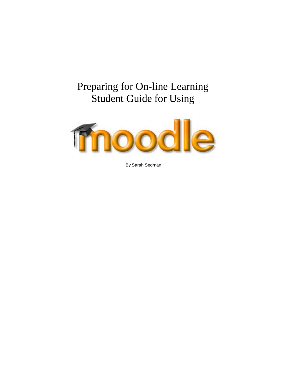# Preparing for On-line Learning Student Guide for Using



By Sarah Sedman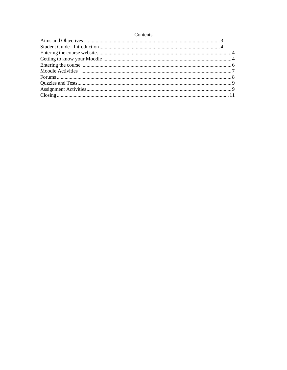## Contents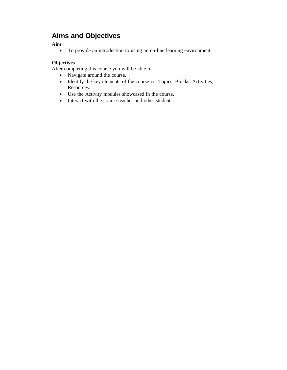## <span id="page-2-0"></span>**Aims and Objectives**

### **Aim**

• To provide an introduction to using an on-line learning environment.

## **Objectives**

After completing this course you will be able to:

- Navigate around the course.
- Identify the key elements of the course i.e. Topics, Blocks, Activities, Resources.
- Use the Activity modules showcased in the course.
- Interact with the course teacher and other students.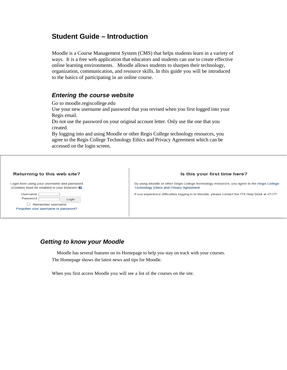## <span id="page-3-0"></span>**Student Guide – Introduction**

Moodle is a Course Management System (CMS) that helps students learn in a variety of ways. It is a free web application that educators and students can use to create effective online learning environments. Moodle allows students to sharpen their technology, organization, communication, and resource skills. In this guide you will be introduced to the basics of participating in an online course.

## <span id="page-3-1"></span>*Entering the course website*

Go to moodle.regiscollege.edu

Use your new username and password that you revised when you first logged into your Regis email.

Do not use the password on your original account letter. Only use the one that you created.

By logging into and using Moodle or other Regis College technology resources, you agree to the Regis College Technology Ethics and Privacy Agreement which can be accessed on the login screen.

#### Returning to this web site?

#### Is this your first time here?

| Login here using your username and password<br>(Cookies must be enabled in your browser) <b>a</b> |       |  |  |
|---------------------------------------------------------------------------------------------------|-------|--|--|
| Username<br>Password                                                                              | Login |  |  |
| Remember username<br>Forgotten your username or password?                                         |       |  |  |

By using Moodle or other Regis College technology resources, you agree to the Regis College Technology Ethics and Privacy Agreement.

If you experience difficulties logging in to Moodle, please contact the ITS Help Desk at x7177.

## *Getting to know your Moodle*

 Moodle has several features on its Homepage to help you stay on track with your courses. The Homepage shows the latest news and tips for Moodle.

When you first access Moodle you will see a list of the courses on the site.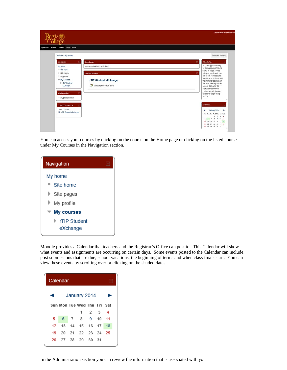|                                                                                  |                                                    | You are logged in as Moodle Us                                                                                         |
|----------------------------------------------------------------------------------|----------------------------------------------------|------------------------------------------------------------------------------------------------------------------------|
| Mahara Regis College<br>Starfish                                                 |                                                    |                                                                                                                        |
| My home » My courses                                                             |                                                    | Customize this page                                                                                                    |
| 回<br>Navigation                                                                  | Latest news                                        | Moodle Tip<br><b>In</b>                                                                                                |
| My home<br><sup>*</sup> Site home<br>> Site pages                                | (No news has been posted yet)<br>Course overview   | Not seeing your January<br>or Spring courses? Not to<br>worry. If Regis Access<br>lists your enrollment, you<br>$\Box$ |
| I My profile<br>₩ My courses<br>I rTIP Student<br>eXchange                       | rTIP Student eXchange<br>There are new forum posts | are all set. Courses are<br>not visible to students until<br>the instructor opens them<br>up. This means you may       |
| Administration<br>旧                                                              |                                                    | not see them until the<br>instructor has finished<br>loading up materials and<br>is ready to begin using               |
| I My profile settings                                                            |                                                    | Moodle.                                                                                                                |
| <b>Current Courses List</b><br><b>F</b><br>Other Courses<br>TIP Student eXchange |                                                    | Calendar<br>January 2014<br>٠                                                                                          |
| w                                                                                |                                                    | Sun Mon Tue Wed Thu Fri Sat<br>$1 \t2 \t3 \t4$<br>5 6 7 8 9 10 11                                                      |
|                                                                                  |                                                    | 12 13 14 15 16 17 18<br>19 20 21 22 23 24 25<br>20 27 28 29 30 31                                                      |

You can access your courses by clicking on the course on the Home page or clicking on the listed courses under My Courses in the Navigation section.



Moodle provides a Calendar that teachers and the Registrar's Office can post to. This Calendar will show what events and assignments are occurring on certain days. Some events posted to the Calendar can include: post submissions that are due, school vacations, the beginning of terms and when class finals start. You can view these events by scrolling over or clicking on the shaded dates.

<span id="page-4-0"></span>

| Calendar |       |    |                             |     |      |    |  |
|----------|-------|----|-----------------------------|-----|------|----|--|
|          |       |    | January 2014                |     |      |    |  |
|          |       |    | Sun Mon Tue Wed Thu Fri Sat |     |      |    |  |
|          |       |    | 1                           | 2   | -3   | 4  |  |
| 5        | 6     | 7  | - 8                         | - 9 | 10   | 11 |  |
| 12       | 13    | 14 | 15 16                       |     | - 17 | 18 |  |
| 19       | 20    |    | 21 22 23 24 25              |     |      |    |  |
| 26       | 27 28 |    | - 29                        | 30  | 31   |    |  |

In the Administration section you can review the information that is associated with your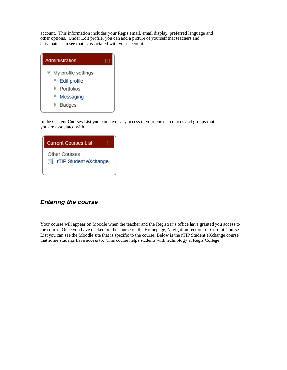account. This information includes your Regis email, email display, preferred language and other options. Under Edit profile, you can add a picture of yourself that teachers and classmates can see that is associated with your account.



In the Current Courses List you can have easy access to your current courses and groups that you are associated with.

|    | <b>Current Courses List</b>                   |  |
|----|-----------------------------------------------|--|
| ΞL | <b>Other Courses</b><br>rTIP Student eXchange |  |
|    |                                               |  |

## *Entering the course*

Your course will appear on Moodle when the teacher and the Registrar's office have granted you access to the course. Once you have clicked on the course on the Homepage, Navigation section, or Current Courses List you can see the Moodle site that is specific to the course. Below is the rTIP Student eXchange course that some students have access to. This course helps students with technology at Regis College.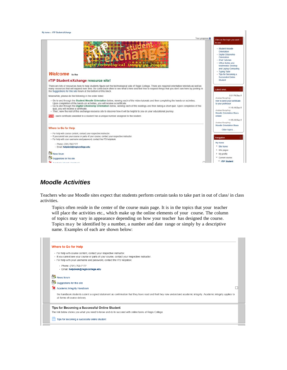My home > rTIP Student eXchange



## *Moodle Activities*

Teachers who use Moodle sites expect that students perform certain tasks to take part in out of class/ in class activities.

Topics often reside in the center of the course main page. It is in the topics that your teacher will place the activities etc., which make up the online elements of your course. The column of topics may vary in appearance depending on how your teacher has designed the course. Topics may be identified by a number, a number and date range or simply by a descriptive name. Examples of each are shown below:

|                               | . For help with course content, contact your respective instructor.<br>- If you cannot see your course or parts of your course, contact your respective instructor. |  |
|-------------------------------|---------------------------------------------------------------------------------------------------------------------------------------------------------------------|--|
|                               | . For help with your username and password, contact the ITS helpdesk:                                                                                               |  |
| • Phone: (781) 768-7177       |                                                                                                                                                                     |  |
|                               | · Email: helpdesk@regiscollege.edu                                                                                                                                  |  |
|                               |                                                                                                                                                                     |  |
| $N$ ews forum                 |                                                                                                                                                                     |  |
| Suggestions for this site     |                                                                                                                                                                     |  |
| Academic Integrity Handbook   |                                                                                                                                                                     |  |
|                               | the handbook students submit a signed statement as confirmation that they have read and that they now understand academic integrity. Academic integrity applies to  |  |
| all forms of course delivery. |                                                                                                                                                                     |  |
|                               |                                                                                                                                                                     |  |
|                               | Tips for Becoming a Successful Online Student                                                                                                                       |  |
|                               | The link below shows you what you need to know and do to succeed with online tasks at Regis College.                                                                |  |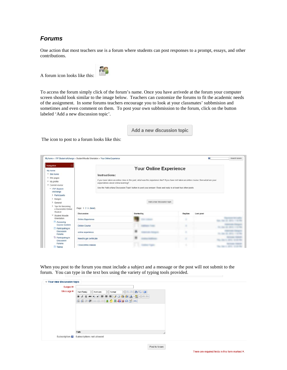## *Forums*

One action that most teachers use is a forum where students can post responses to a prompt, essays, and other contributions.

A forum icon looks like this:



To access the forum simply click of the forum's name. Once you have arrivede at the forum your computer screen should look similar to the image below. Teachers can customize the forums to fit the academic needs of the assignment. In some forums teachers encourage you to look at your classmates' subbmision and sometimes and even comment on them. To post your own subbmission to the forum, click on the button labeled 'Add a new discussion topic'.

Add a new discussion topic

The icon to post to a forum looks like this:

| My home > rTIP Student eXchange > Student Moodle Orientation > Your Online Experience |                          |                                                                                                                                         |            |                               |         | 7         | Search forums |
|---------------------------------------------------------------------------------------|--------------------------|-----------------------------------------------------------------------------------------------------------------------------------------|------------|-------------------------------|---------|-----------|---------------|
| ⊟<br>Navigation<br>My home                                                            |                          |                                                                                                                                         |            | <b>Your Online Experience</b> |         |           |               |
| <sup>*</sup> Site home                                                                |                          | Instructions:                                                                                                                           |            |                               |         |           |               |
| Site pages                                                                            |                          | if you have taken an online class in the past, what was the experience like? If you have not taken an online course, then what are your |            |                               |         |           |               |
| I <sup>I</sup> My profile                                                             |                          | expectations about online learning?                                                                                                     |            |                               |         |           |               |
| Current course                                                                        |                          | Use the 'Add a New Discussion Topic' button to post your answer. Read and reply to at least two other posts.                            |            |                               |         |           |               |
| = rTIP Student<br>eXchange                                                            |                          |                                                                                                                                         |            |                               |         |           |               |
| Participants                                                                          |                          |                                                                                                                                         |            |                               |         |           |               |
| <b>D</b> Badges                                                                       |                          |                                                                                                                                         |            |                               |         |           |               |
| General                                                                               |                          |                                                                                                                                         |            | Add a new discussion topic    |         |           |               |
| Tips for Becoming<br>a Successful Online<br>Student                                   | Page: 1 2 3 (Next)       |                                                                                                                                         |            |                               |         |           |               |
| * Student Moodle                                                                      | Discussion               |                                                                                                                                         | Started by |                               | Replies | Last post |               |
| Orientation                                                                           | <b>Online Experience</b> |                                                                                                                                         |            |                               |         |           |               |
| Accessing<br><b>Course Content</b>                                                    | Online Course            |                                                                                                                                         |            |                               |         |           |               |
| Participating in                                                                      |                          |                                                                                                                                         |            |                               |         |           |               |
| Discussion<br>Forums                                                                  | online experience        |                                                                                                                                         |            |                               |         |           |               |
| Participating in<br>Discussion                                                        | Need to get certificate  |                                                                                                                                         |            |                               |         |           |               |
| Forums<br><b>Taking</b>                                                               | I love online classes    |                                                                                                                                         |            |                               |         |           |               |

When you post to the forum you must include a subject and a message or the post will not submit to the forum. You can type in the text box using the variety of typing tools provided.

| v Your new discussion topic |                                                                                                                   |
|-----------------------------|-------------------------------------------------------------------------------------------------------------------|
| Subject*                    |                                                                                                                   |
| Message*                    | $\cdot$ $\cdot$ $\cdot$ $\land$ $\land$ $\blacksquare$<br>Font family<br>Font size<br>Format<br><b>Strip</b><br>× |
|                             | <b>B</b> <i>I</i> U 496 x, x'   三 三 三 ダ 2 0 0   A · シ -   > 1 1   1                                               |
|                             | 三百年年 ◎※◎ ● ● ● 日 Q 図 Ω M ™                                                                                        |
|                             |                                                                                                                   |
|                             |                                                                                                                   |
|                             |                                                                                                                   |
|                             |                                                                                                                   |
|                             |                                                                                                                   |
|                             | Path:                                                                                                             |
|                             | Subscription <b>E</b> Subscriptions not allowed                                                                   |
|                             |                                                                                                                   |

Post to forum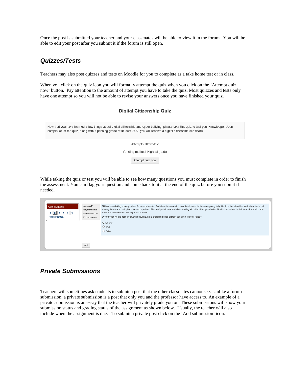Once the post is submitted your teacher and your classmates will be able to view it in the forum. You will be able to edit your post after you submit it if the forum is still open.

## *Quizzes/Tests*

Teachers may also post quizzes and tests on Moodle for you to complete as a take home test or in class.

When you click on the quiz icon you will formally attempt the quiz when you click on the 'Attempt quiz now' button. Pay attention to the amount of attempt you have to take the quiz. Most quizzes and tests only have one attempt so you will not be able to revise your answers once you have finished your quiz.

| <b>Digital Citizenship Quiz</b>                                                                                                                                                                                                                                    |
|--------------------------------------------------------------------------------------------------------------------------------------------------------------------------------------------------------------------------------------------------------------------|
| Now that you have learned a few things about digital citizenship and cyber bullying, please take this quiz to test your knowledge. Upon<br>completion of the quiz, along with a passing grade of at least 75%, you will receive a digital citizenship certificate. |
| Attempts allowed: 2                                                                                                                                                                                                                                                |
| Grading method: Highest grade                                                                                                                                                                                                                                      |
| Attempt quiz now                                                                                                                                                                                                                                                   |
|                                                                                                                                                                                                                                                                    |

While taking the quiz or test you will be able to see how many questions you must complete in order to finish the assessment. You can flag your question and come back to it at the end of the quiz before you submit if needed.

| Quiz navigation<br>$1 \ 2 \ 3 \ 4 \ 5 \ 6$<br>Finish attempt | Question 2<br>Not yet answered<br>Marked out of 1.00<br>$\mathbb F$ Flag question | Bill has been taking a biology class for several weeks. Each time he comes to class, he sits next to the same young lady. He finds her attractive, and when she is not<br>looking, he uses his cell phone to snap a picture of her and puts it on a social networking site without her permission. Next to the picture he talks about how nice she<br>looks and that he would like to get to know her.<br>Even though he did not say anything abusive, he is exercising good digital citizenship. True or False?<br>Select one:<br>$\circ$ True<br>$O$ False |
|--------------------------------------------------------------|-----------------------------------------------------------------------------------|--------------------------------------------------------------------------------------------------------------------------------------------------------------------------------------------------------------------------------------------------------------------------------------------------------------------------------------------------------------------------------------------------------------------------------------------------------------------------------------------------------------------------------------------------------------|
|                                                              | <b>Contract Contract</b><br>Next                                                  |                                                                                                                                                                                                                                                                                                                                                                                                                                                                                                                                                              |

## *Private Submissions*

Teachers will sometimes ask students to submit a post that the other classmates cannot see. Unlike a forum submission, a private submission is a post that only you and the professor have access to. An example of a private submission is an essay that the teacher will privately grade you on. These submissions will show your submission status and grading status of the assignment as shown below. Usually, the teacher will also include when the assignment is due. To submit a private post click on the 'Add submission' icon.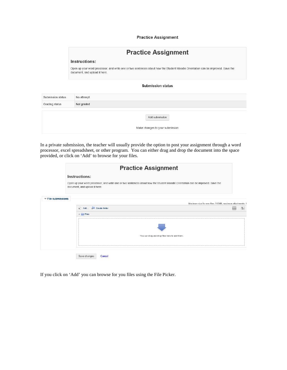**Practice Assignment** 

|                   | <b>Practice Assignment</b>                                                                                                                                      |  |  |  |  |
|-------------------|-----------------------------------------------------------------------------------------------------------------------------------------------------------------|--|--|--|--|
|                   | Instructions:                                                                                                                                                   |  |  |  |  |
|                   | Open up your word processor, and write one or two sentences about how the Student Moodle Orientation can be improved. Save the<br>document, and upload it here. |  |  |  |  |
|                   | <b>Submission status</b>                                                                                                                                        |  |  |  |  |
| Submission status | No attempt                                                                                                                                                      |  |  |  |  |
| Grading status    | Not graded                                                                                                                                                      |  |  |  |  |
|                   | Add submission<br>Make changes to your submission                                                                                                               |  |  |  |  |

In a private submission, the teacher will usually provide the option to post your assignment through a word processor, excel spreadsheet, or other program. You can either drag and drop the document into the space provided, or click on 'Add' to browse for your files.

|                                       | <b>Practice Assignment</b>                                                                                                                                      |   |          |  |  |  |  |
|---------------------------------------|-----------------------------------------------------------------------------------------------------------------------------------------------------------------|---|----------|--|--|--|--|
|                                       | Instructions:                                                                                                                                                   |   |          |  |  |  |  |
|                                       | Open up your word processor, and write one or two sentences about how the Student Moodle Orientation can be improved. Save the<br>document, and upload it here. |   |          |  |  |  |  |
| $\blacktriangledown$ File submissions | Maximum size for new files: 512MB, maximum attachments: 1                                                                                                       |   |          |  |  |  |  |
|                                       | Add Create folder                                                                                                                                               | m | $\equiv$ |  |  |  |  |
|                                       | <b>Files</b><br>$\mathbbm{P}$                                                                                                                                   |   |          |  |  |  |  |
|                                       | You can drag and drop files here to add them.                                                                                                                   |   |          |  |  |  |  |
|                                       | Save changes<br>Cancel                                                                                                                                          |   |          |  |  |  |  |

If you click on 'Add' you can browse for you files using the File Picker.